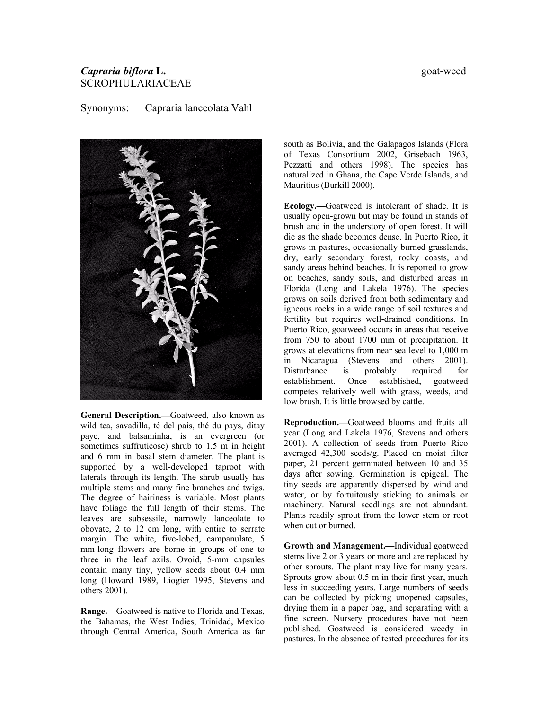## *Capraria biflora* **L.** goat-weed SCROPHULARIACEAE

Synonyms: Capraria lanceolata Vahl



**General Description.—**Goatweed, also known as wild tea, savadilla, té del país, thé du pays, ditay paye, and balsaminha, is an evergreen (or sometimes suffruticose) shrub to 1.5 m in height and 6 mm in basal stem diameter. The plant is supported by a well-developed taproot with laterals through its length. The shrub usually has multiple stems and many fine branches and twigs. The degree of hairiness is variable. Most plants have foliage the full length of their stems. The leaves are subsessile, narrowly lanceolate to obovate, 2 to 12 cm long, with entire to serrate margin. The white, five-lobed, campanulate, 5 mm-long flowers are borne in groups of one to three in the leaf axils. Ovoid, 5-mm capsules contain many tiny, yellow seeds about 0.4 mm long (Howard 1989, Liogier 1995, Stevens and others 2001).

**Range.—**Goatweed is native to Florida and Texas, the Bahamas, the West Indies, Trinidad, Mexico through Central America, South America as far south as Bolivia, and the Galapagos Islands (Flora of Texas Consortium 2002, Grisebach 1963, Pezzatti and others 1998). The species has naturalized in Ghana, the Cape Verde Islands, and Mauritius (Burkill 2000).

**Ecology.—**Goatweed is intolerant of shade. It is usually open-grown but may be found in stands of brush and in the understory of open forest. It will die as the shade becomes dense. In Puerto Rico, it grows in pastures, occasionally burned grasslands, dry, early secondary forest, rocky coasts, and sandy areas behind beaches. It is reported to grow on beaches, sandy soils, and disturbed areas in Florida (Long and Lakela 1976). The species grows on soils derived from both sedimentary and igneous rocks in a wide range of soil textures and fertility but requires well-drained conditions. In Puerto Rico, goatweed occurs in areas that receive from 750 to about 1700 mm of precipitation. It grows at elevations from near sea level to 1,000 m in Nicaragua (Stevens and others 2001). Disturbance is probably required for establishment. Once established, goatweed competes relatively well with grass, weeds, and low brush. It is little browsed by cattle.

**Reproduction.—**Goatweed blooms and fruits all year (Long and Lakela 1976, Stevens and others 2001). A collection of seeds from Puerto Rico averaged 42,300 seeds/g. Placed on moist filter paper, 21 percent germinated between 10 and 35 days after sowing. Germination is epigeal. The tiny seeds are apparently dispersed by wind and water, or by fortuitously sticking to animals or machinery. Natural seedlings are not abundant. Plants readily sprout from the lower stem or root when cut or burned.

**Growth and Management.—**Individual goatweed stems live 2 or 3 years or more and are replaced by other sprouts. The plant may live for many years. Sprouts grow about 0.5 m in their first year, much less in succeeding years. Large numbers of seeds can be collected by picking unopened capsules, drying them in a paper bag, and separating with a fine screen. Nursery procedures have not been published. Goatweed is considered weedy in pastures. In the absence of tested procedures for its